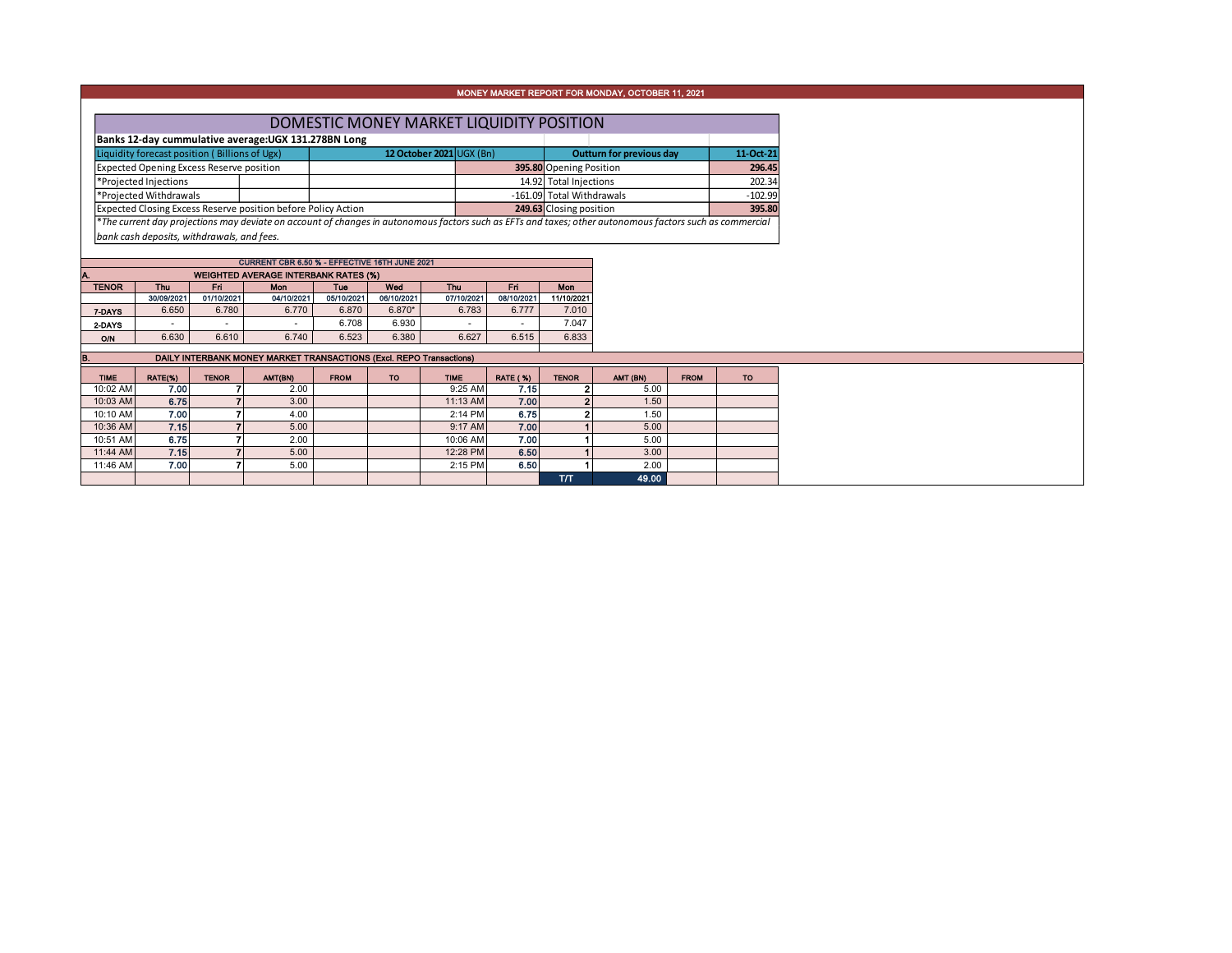## MONEY MARKET REPORT FOR MONDAY, OCTOBER 11, 2021

| DOMESTIC MONEY MARKET LIQUIDITY POSITION                             |  |                                                                                                                                                             |  |                           |           |           |  |  |  |  |  |
|----------------------------------------------------------------------|--|-------------------------------------------------------------------------------------------------------------------------------------------------------------|--|---------------------------|-----------|-----------|--|--|--|--|--|
| Banks 12-day cummulative average: UGX 131.278BN Long                 |  |                                                                                                                                                             |  |                           |           |           |  |  |  |  |  |
| Liquidity forecast position (Billions of Ugx)                        |  | 12 October 2021 UGX (Bn)                                                                                                                                    |  | Outturn for previous day  | 11-Oct-21 |           |  |  |  |  |  |
| <b>Expected Opening Excess Reserve position</b>                      |  |                                                                                                                                                             |  | 395.80 Opening Position   |           | 296.45    |  |  |  |  |  |
| *Projected Injections                                                |  |                                                                                                                                                             |  | 14.92 Total Injections    |           | 202.34    |  |  |  |  |  |
| *Projected Withdrawals                                               |  |                                                                                                                                                             |  | -161.09 Total Withdrawals |           | $-102.99$ |  |  |  |  |  |
| <b>Expected Closing Excess Reserve position before Policy Action</b> |  |                                                                                                                                                             |  | 249.63 Closing position   |           | 395.80    |  |  |  |  |  |
|                                                                      |  | $*$ The current day projections may deviate on account of changes in autonomous factors such as FETs and taxes; other autonomous factors such as commercial |  |                           |           |           |  |  |  |  |  |

\**The current day projections may deviate on account of changes in autonomous factors such as EFTs and taxes; other autonomous factors such as commercial bank cash deposits, withdrawals, and fees.*

| CURRENT CBR 6.50 % - EFFECTIVE 16TH JUNE 2021      |                          |            |            |            |            |            |            |            |  |  |  |  |  |  |
|----------------------------------------------------|--------------------------|------------|------------|------------|------------|------------|------------|------------|--|--|--|--|--|--|
| <b>WEIGHTED AVERAGE INTERBANK RATES (%)</b><br>IA. |                          |            |            |            |            |            |            |            |  |  |  |  |  |  |
| <b>TENOR</b>                                       | <b>Thu</b>               | <b>Fri</b> | <b>Mon</b> | Tue        | Wed        | Thu        | <b>Fri</b> | Mon        |  |  |  |  |  |  |
|                                                    | 30/09/2021               | 01/10/2021 | 04/10/2021 | 05/10/2021 | 06/10/2021 | 07/10/2021 | 08/10/2021 | 11/10/2021 |  |  |  |  |  |  |
| 7-DAYS                                             | 6.650                    | 6.780      | 6.770      | 6.870      | $6.870*$   | 6.783      | 6.777      | 7.010      |  |  |  |  |  |  |
| 2-DAYS                                             | $\overline{\phantom{a}}$ | ۰          | ۰          | 6.708      | 6.930      | ۰          | ۰          | 7.047      |  |  |  |  |  |  |
| <b>O/N</b>                                         | 6.630                    | 6.610      | 6.740      | 6.523      | 6.380      | 6.627      | 6.515      | 6.833      |  |  |  |  |  |  |
|                                                    |                          |            |            |            |            |            |            |            |  |  |  |  |  |  |

**B.** DAILY INTERBANK MONEY MARKET TRANSACTIONS (Excl. REPO Transactions)

| <b>TIME</b> | RATE(%)           | <b>TENOR</b> | AMT(BN) | <b>FROM</b> | <b>TO</b> | <b>TIME</b> | <b>RATE (%)</b> | <b>TENOR</b> | AMT (BN) | <b>FROM</b> | <b>TO</b> |
|-------------|-------------------|--------------|---------|-------------|-----------|-------------|-----------------|--------------|----------|-------------|-----------|
| 10:02 AM    | 7.00              |              | 2.00    |             |           | $9:25$ AM   | 7.15            |              | 5.00     |             |           |
| 10:03 AM    | 6.75              |              | 3.00    |             |           | $11:13$ AM  | 7.00            |              | 1.50     |             |           |
| 10:10 AM    | 7.00 <sub>1</sub> |              | 4.00    |             |           | $2:14$ PM   | 6.75            |              | 1.50     |             |           |
| 10:36 AM    | 7.15              |              | 5.00    |             |           | $9:17$ AM   | 7.00            |              | 5.00     |             |           |
| 10:51 AM    | 6.75              |              | 2.00    |             |           | 10:06 AM    | 7.00            |              | 5.00     |             |           |
| 11:44 AM    | 7.15              |              | 5.00    |             |           | 12:28 PM    | 6.50            |              | 3.00     |             |           |
| 11:46 AM    | 7.00              |              | 5.00    |             |           | $2:15$ PM   | 6.50            |              | 2.00     |             |           |
|             |                   |              |         |             |           |             |                 | TЛ           | 49.00    |             |           |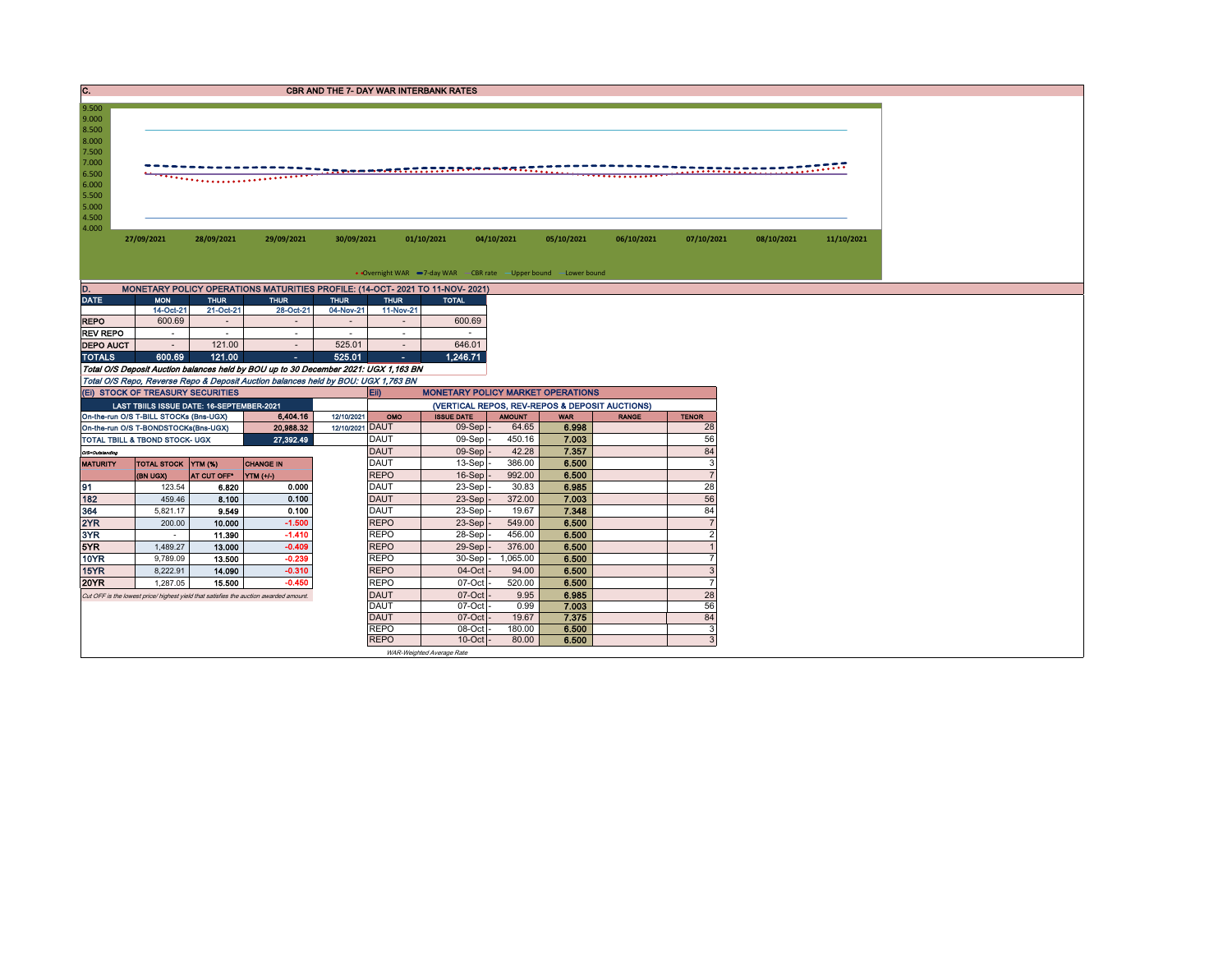| IC.              |                                                                                       |                         |                                                                                     |                 |                            | <b>CBR AND THE 7- DAY WAR INTERBANK RATES</b>                     |                 |                                                |              |                      |            |            |
|------------------|---------------------------------------------------------------------------------------|-------------------------|-------------------------------------------------------------------------------------|-----------------|----------------------------|-------------------------------------------------------------------|-----------------|------------------------------------------------|--------------|----------------------|------------|------------|
| 9.500            |                                                                                       |                         |                                                                                     |                 |                            |                                                                   |                 |                                                |              |                      |            |            |
| 9.000            |                                                                                       |                         |                                                                                     |                 |                            |                                                                   |                 |                                                |              |                      |            |            |
| 8.500            |                                                                                       |                         |                                                                                     |                 |                            |                                                                   |                 |                                                |              |                      |            |            |
| 8.000            |                                                                                       |                         |                                                                                     |                 |                            |                                                                   |                 |                                                |              |                      |            |            |
| 7.500            |                                                                                       |                         |                                                                                     |                 |                            |                                                                   |                 |                                                |              |                      |            |            |
| 7.000            |                                                                                       |                         |                                                                                     |                 |                            |                                                                   |                 |                                                |              |                      |            |            |
| 6.500<br>6.000   |                                                                                       |                         |                                                                                     |                 |                            |                                                                   |                 |                                                |              |                      |            |            |
| 5.500            |                                                                                       |                         |                                                                                     |                 |                            |                                                                   |                 |                                                |              |                      |            |            |
| 5.000            |                                                                                       |                         |                                                                                     |                 |                            |                                                                   |                 |                                                |              |                      |            |            |
| 4.500            |                                                                                       |                         |                                                                                     |                 |                            |                                                                   |                 |                                                |              |                      |            |            |
| 4.000            |                                                                                       |                         |                                                                                     |                 |                            |                                                                   |                 |                                                |              |                      |            |            |
|                  | 27/09/2021                                                                            | 28/09/2021              | 29/09/2021                                                                          | 30/09/2021      |                            | 01/10/2021                                                        | 04/10/2021      | 05/10/2021                                     | 06/10/2021   | 07/10/2021           | 08/10/2021 | 11/10/2021 |
|                  |                                                                                       |                         |                                                                                     |                 |                            |                                                                   |                 |                                                |              |                      |            |            |
|                  |                                                                                       |                         |                                                                                     |                 |                            |                                                                   |                 |                                                |              |                      |            |            |
|                  |                                                                                       |                         |                                                                                     |                 |                            | • Overnight WAR -7-day WAR - CBR rate - Upper bound - Lower bound |                 |                                                |              |                      |            |            |
| D.               |                                                                                       |                         | MONETARY POLICY OPERATIONS MATURITIES PROFILE: (14-OCT- 2021 TO 11-NOV- 2021)       |                 |                            |                                                                   |                 |                                                |              |                      |            |            |
| <b>DATE</b>      | <b>MON</b>                                                                            | <b>THUR</b>             | <b>THUR</b>                                                                         | <b>THUR</b>     | <b>THUR</b>                | <b>TOTAL</b>                                                      |                 |                                                |              |                      |            |            |
|                  | 14-Oct-21                                                                             | 21-Oct-21               | 28-Oct-21                                                                           | 04-Nov-21       | 11-Nov-21                  |                                                                   |                 |                                                |              |                      |            |            |
| <b>REPO</b>      | 600.69                                                                                | $\sim$                  | $\sim$                                                                              |                 |                            | 600.69                                                            |                 |                                                |              |                      |            |            |
| <b>REV REPO</b>  | $\sim$                                                                                | $\sim$                  | $\sim$                                                                              | $\sim$          | $\sim$                     | $\sim$                                                            |                 |                                                |              |                      |            |            |
| <b>DEPO AUCT</b> | $\sim$                                                                                | 121.00                  | $\sim$                                                                              | 525.01          | $\sim$                     | 646.01                                                            |                 |                                                |              |                      |            |            |
| <b>TOTALS</b>    | 600.69                                                                                | 121.00                  | $\sim$                                                                              | 525.01          | $\sim$                     | 1,246.71                                                          |                 |                                                |              |                      |            |            |
|                  |                                                                                       |                         | Total O/S Deposit Auction balances held by BOU up to 30 December 2021: UGX 1,163 BN |                 |                            |                                                                   |                 |                                                |              |                      |            |            |
|                  |                                                                                       |                         | Total O/S Repo, Reverse Repo & Deposit Auction balances held by BOU: UGX 1,763 BN   |                 |                            |                                                                   |                 |                                                |              |                      |            |            |
|                  | (EI) STOCK OF TREASURY SECURITIES                                                     |                         |                                                                                     |                 | Eii)                       | <b>MONETARY POLICY MARKET OPERATIONS</b>                          |                 |                                                |              |                      |            |            |
|                  | LAST TBIILS ISSUE DATE: 16-SEPTEMBER-2021                                             |                         |                                                                                     |                 |                            |                                                                   |                 | (VERTICAL REPOS, REV-REPOS & DEPOSIT AUCTIONS) |              |                      |            |            |
|                  | On-the-run O/S T-BILL STOCKs (Bns-UGX)                                                |                         | 6,404.16                                                                            | 12/10/2021      | OMO                        | <b>ISSUE DATE</b>                                                 | <b>AMOUNT</b>   | <b>WAR</b>                                     | <b>RANGE</b> | <b>TENOR</b>         |            |            |
|                  | On-the-run O/S T-BONDSTOCKs(Bns-UGX)                                                  |                         | 20,988.32                                                                           | 12/10/2021 DAUT |                            | $09-Sep$ -                                                        | 64.65           | 6.998                                          |              | 28                   |            |            |
|                  | TOTAL TBILL & TBOND STOCK- UGX                                                        |                         | 27,392.49                                                                           |                 | <b>DAUT</b>                | 09-Sep                                                            | 450.16          | 7.003                                          |              | 56                   |            |            |
| O/S=Outstanding  |                                                                                       |                         |                                                                                     |                 | <b>DAUT</b><br><b>DAUT</b> | 09-Sep                                                            | 42.28           | 7.357                                          |              | 84<br>3              |            |            |
| <b>MATURITY</b>  | TOTAL STOCK YTM (%)                                                                   |                         | <b>CHANGE IN</b>                                                                    |                 | <b>REPO</b>                | 13-Sep                                                            | 386.00          | 6.500<br>6.500                                 |              | $\overline{7}$       |            |            |
|                  | (BN UGX)                                                                              | AT CUT OFF <sup>®</sup> | YTM (+/-)<br>0.000                                                                  |                 | <b>DAUT</b>                | 16-Sep<br>23-Sep                                                  | 992.00<br>30.83 | 6.985                                          |              | 28                   |            |            |
| 191<br>182       | 123.54<br>459.46                                                                      | 6.820<br>8.100          | 0.100                                                                               |                 | <b>DAUT</b>                | $23-Sep$                                                          | 372.00          | 7.003                                          |              | 56                   |            |            |
| 364              |                                                                                       | 9.549                   | 0.100                                                                               |                 | <b>DAUT</b>                | 23-Sep                                                            | 19.67           | 7.348                                          |              | 84                   |            |            |
|                  |                                                                                       |                         |                                                                                     |                 |                            |                                                                   |                 |                                                |              |                      |            |            |
|                  | 5,821.17                                                                              |                         |                                                                                     |                 |                            |                                                                   |                 |                                                |              |                      |            |            |
| 2YR              | 200.00                                                                                | 10.000                  | $-1.500$                                                                            |                 | <b>REPO</b>                | 23-Sep                                                            | 549.00          | 6.500                                          |              | $\overline{7}$       |            |            |
| 3YR              | $\sim$                                                                                | 11.390                  | $-1.410$                                                                            |                 | <b>REPO</b>                | 28-Sep                                                            | 456.00          | 6.500                                          |              | $\overline{2}$       |            |            |
| 5YR              | 1,489.27                                                                              | 13.000                  | $-0.409$                                                                            |                 | <b>REPO</b>                | $29-Sep$                                                          | 376.00          | 6.500                                          |              |                      |            |            |
| <b>10YR</b>      | 9,789.09                                                                              | 13.500                  | $-0.239$                                                                            |                 | <b>REPO</b>                | 30-Sep -                                                          | 1,065.00        | 6.500                                          |              | $\overline{7}$       |            |            |
| 15YR             | 8,222.91                                                                              | 14.090                  | $-0.310$                                                                            |                 | <b>REPO</b>                | 04-Oct                                                            | 94.00           | 6.500                                          |              | $\mathbf{3}$         |            |            |
| <b>20YR</b>      | 1,287.05                                                                              | 15,500                  | $-0.450$                                                                            |                 | <b>REPO</b>                | 07-Oct                                                            | 520.00          | 6.500                                          |              | $\overline{7}$       |            |            |
|                  | Cut OFF is the lowest price/ highest yield that satisfies the auction awarded amount. |                         |                                                                                     |                 | <b>DAUT</b>                | 07-Oct                                                            | 9.95            | 6.985                                          |              | 28                   |            |            |
|                  |                                                                                       |                         |                                                                                     |                 | <b>DAUT</b>                | 07-Oct                                                            | 0.99            | 7.003                                          |              | 56                   |            |            |
|                  |                                                                                       |                         |                                                                                     |                 | <b>DAUT</b><br><b>REPO</b> | 07-Oct<br>08-Oct                                                  | 19.67<br>180.00 | 7.375<br>6.500                                 |              | 84<br>$\overline{3}$ |            |            |

WAR-Weighted Average Rate